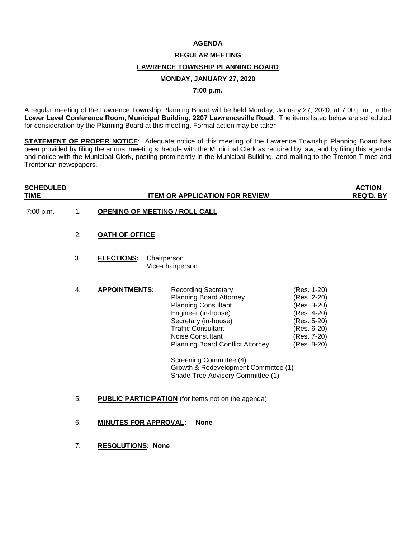### **AGENDA**

#### **REGULAR MEETING**

## **LAWRENCE TOWNSHIP PLANNING BOARD**

# **MONDAY, JANUARY 27, 2020**

### **7:00 p.m.**

A regular meeting of the Lawrence Township Planning Board will be held Monday, January 27, 2020, at 7:00 p.m., in the **Lower Level Conference Room, Municipal Building, 2207 Lawrenceville Road**. The items listed below are scheduled for consideration by the Planning Board at this meeting. Formal action may be taken.

**STATEMENT OF PROPER NOTICE:** Adequate notice of this meeting of the Lawrence Township Planning Board has been provided by filing the annual meeting schedule with the Municipal Clerk as required by law, and by filing this agenda and notice with the Municipal Clerk, posting prominently in the Municipal Building, and mailing to the Trenton Times and Trentonian newspapers.

| <b>SCHEDULED</b><br><b>TIME</b> |    | <b>ITEM OR APPLICATION FOR REVIEW</b>                     |                                                                                                                                                                                                                                                                                                                                        |                                                                                                                      | <b>ACTION</b><br><b>REQ'D. BY</b> |
|---------------------------------|----|-----------------------------------------------------------|----------------------------------------------------------------------------------------------------------------------------------------------------------------------------------------------------------------------------------------------------------------------------------------------------------------------------------------|----------------------------------------------------------------------------------------------------------------------|-----------------------------------|
| 7:00 p.m.                       | 1. | <b>OPENING OF MEETING / ROLL CALL</b>                     |                                                                                                                                                                                                                                                                                                                                        |                                                                                                                      |                                   |
|                                 | 2. | <b>OATH OF OFFICE</b>                                     |                                                                                                                                                                                                                                                                                                                                        |                                                                                                                      |                                   |
|                                 | 3. | <b>ELECTIONS:</b>                                         | Chairperson<br>Vice-chairperson                                                                                                                                                                                                                                                                                                        |                                                                                                                      |                                   |
|                                 | 4. | <b>APPOINTMENTS:</b>                                      | <b>Recording Secretary</b><br>Planning Board Attorney<br><b>Planning Consultant</b><br>Engineer (in-house)<br>Secretary (in-house)<br><b>Traffic Consultant</b><br>Noise Consultant<br><b>Planning Board Conflict Attorney</b><br>Screening Committee (4)<br>Growth & Redevelopment Committee (1)<br>Shade Tree Advisory Committee (1) | (Res. 1-20)<br>(Res. 2-20)<br>(Res. 3-20)<br>(Res. 4-20)<br>(Res. 5-20)<br>(Res. 6-20)<br>(Res. 7-20)<br>(Res. 8-20) |                                   |
|                                 | 5. | <b>PUBLIC PARTICIPATION</b> (for items not on the agenda) |                                                                                                                                                                                                                                                                                                                                        |                                                                                                                      |                                   |
|                                 | 6. | <b>MINUTES FOR APPROVAL:</b>                              | <b>None</b>                                                                                                                                                                                                                                                                                                                            |                                                                                                                      |                                   |

7. **RESOLUTIONS: None**